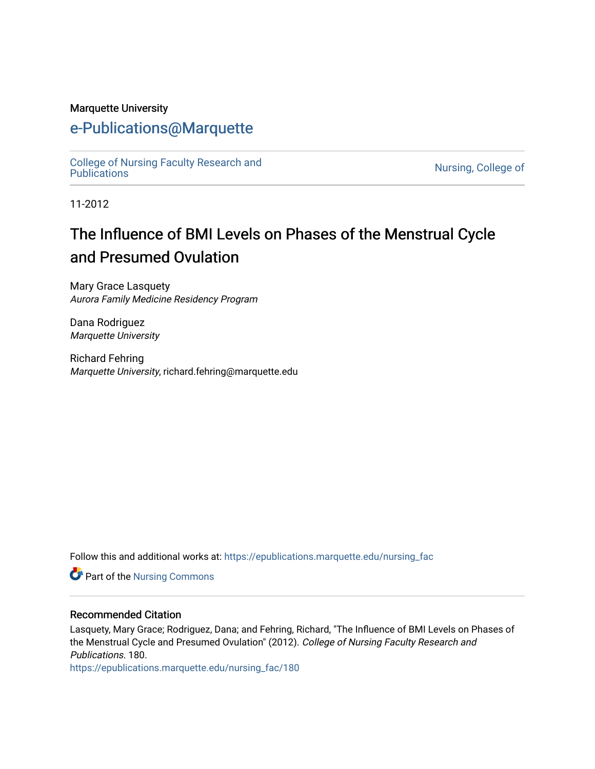#### Marquette University

## [e-Publications@Marquette](https://epublications.marquette.edu/)

[College of Nursing Faculty Research and](https://epublications.marquette.edu/nursing_fac)<br>Publications

Nursing, College of

11-2012

# The Influence of BMI Levels on Phases of the Menstrual Cycle and Presumed Ovulation

Mary Grace Lasquety Aurora Family Medicine Residency Program

Dana Rodriguez Marquette University

Richard Fehring Marquette University, richard.fehring@marquette.edu

Follow this and additional works at: [https://epublications.marquette.edu/nursing\\_fac](https://epublications.marquette.edu/nursing_fac?utm_source=epublications.marquette.edu%2Fnursing_fac%2F180&utm_medium=PDF&utm_campaign=PDFCoverPages)

**Part of the Nursing Commons** 

#### Recommended Citation

Lasquety, Mary Grace; Rodriguez, Dana; and Fehring, Richard, "The Influence of BMI Levels on Phases of the Menstrual Cycle and Presumed Ovulation" (2012). College of Nursing Faculty Research and Publications. 180.

[https://epublications.marquette.edu/nursing\\_fac/180](https://epublications.marquette.edu/nursing_fac/180?utm_source=epublications.marquette.edu%2Fnursing_fac%2F180&utm_medium=PDF&utm_campaign=PDFCoverPages)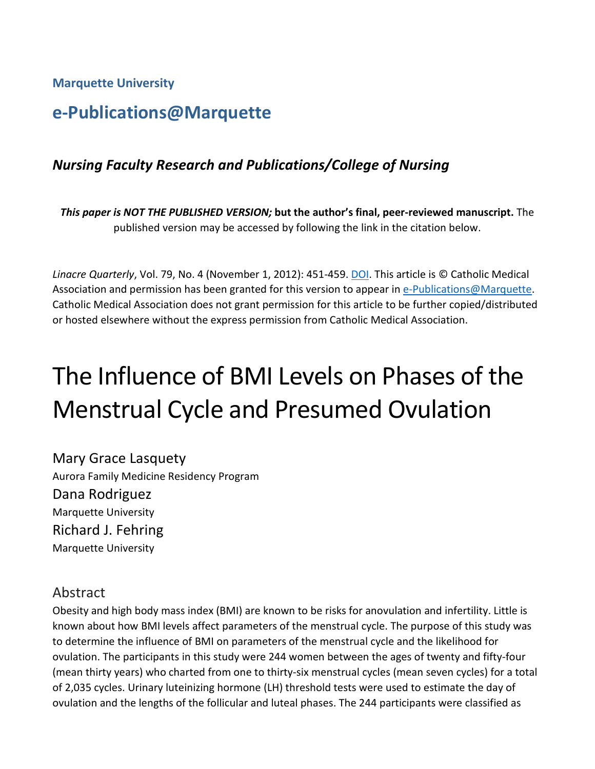**Marquette University**

## **e-Publications@Marquette**

#### *Nursing Faculty Research and Publications/College of Nursing*

*This paper is NOT THE PUBLISHED VERSION;* **but the author's final, peer-reviewed manuscript.** The published version may be accessed by following the link in the citation below.

*Linacre Quarterly*, Vol. 79, No. 4 (November 1, 2012): 451-459. [DOI.](https://doi.org/10.1179%2F002436312804827082) This article is © Catholic Medical Association and permission has been granted for this version to appear in [e-Publications@Marquette.](http://epublications.marquette.edu/) Catholic Medical Association does not grant permission for this article to be further copied/distributed or hosted elsewhere without the express permission from Catholic Medical Association.

# The Influence of BMI Levels on Phases of the Menstrual Cycle and Presumed Ovulation

Mary Grace Lasquety Aurora Family Medicine Residency Program Dana Rodriguez Marquette University Richard J. Fehring Marquette University

#### Abstract

Obesity and high body mass index (BMI) are known to be risks for anovulation and infertility. Little is known about how BMI levels affect parameters of the menstrual cycle. The purpose of this study was to determine the influence of BMI on parameters of the menstrual cycle and the likelihood for ovulation. The participants in this study were 244 women between the ages of twenty and fifty-four (mean thirty years) who charted from one to thirty-six menstrual cycles (mean seven cycles) for a total of 2,035 cycles. Urinary luteinizing hormone (LH) threshold tests were used to estimate the day of ovulation and the lengths of the follicular and luteal phases. The 244 participants were classified as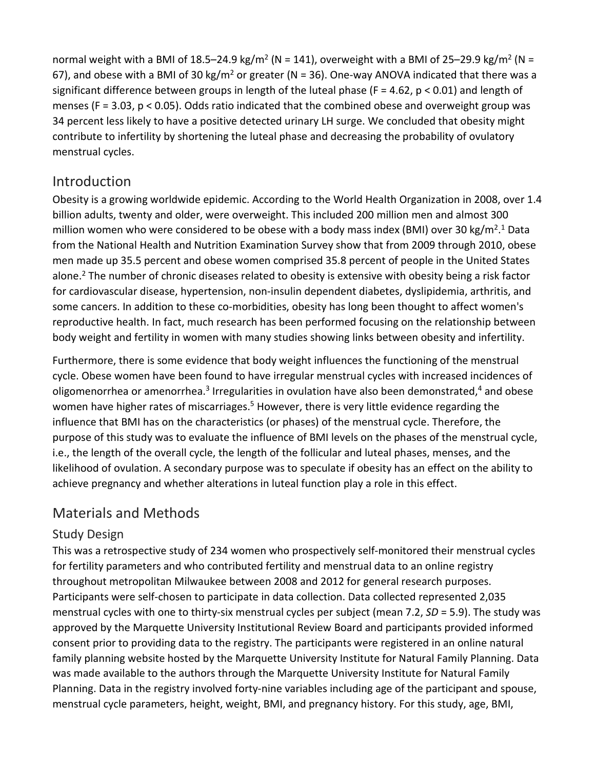normal weight with a BMI of 18.5–24.9 kg/m<sup>2</sup> (N = 141), overweight with a BMI of 25–29.9 kg/m<sup>2</sup> (N = 67), and obese with a BMI of 30 kg/m<sup>2</sup> or greater (N = 36). One-way ANOVA indicated that there was a significant difference between groups in length of the luteal phase (F = 4.62, p < 0.01) and length of menses (F = 3.03, p < 0.05). Odds ratio indicated that the combined obese and overweight group was 34 percent less likely to have a positive detected urinary LH surge. We concluded that obesity might contribute to infertility by shortening the luteal phase and decreasing the probability of ovulatory menstrual cycles.

#### **Introduction**

Obesity is a growing worldwide epidemic. According to the World Health Organization in 2008, over 1.4 billion adults, twenty and older, were overweight. This included 200 million men and almost 300 million women who were considered to be obese with a body mass index (BMI) over 30 kg/m<sup>2</sup>.<sup>1</sup> Data from the National Health and Nutrition Examination Survey show that from 2009 through 2010, obese men made up 35.5 percent and obese women comprised 35.8 percent of people in the United States alone.<sup>2</sup> The number of chronic diseases related to obesity is extensive with obesity being a risk factor for cardiovascular disease, hypertension, non-insulin dependent diabetes, dyslipidemia, arthritis, and some cancers. In addition to these co-morbidities, obesity has long been thought to affect women's reproductive health. In fact, much research has been performed focusing on the relationship between body weight and fertility in women with many studies showing links between obesity and infertility.

Furthermore, there is some evidence that body weight influences the functioning of the menstrual cycle. Obese women have been found to have irregular menstrual cycles with increased incidences of oligomenorrhea or amenorrhea.<sup>3</sup> Irregularities in ovulation have also been demonstrated,<sup>4</sup> and obese women have higher rates of miscarriages.<sup>5</sup> However, there is very little evidence regarding the influence that BMI has on the characteristics (or phases) of the menstrual cycle. Therefore, the purpose of this study was to evaluate the influence of BMI levels on the phases of the menstrual cycle, i.e., the length of the overall cycle, the length of the follicular and luteal phases, menses, and the likelihood of ovulation. A secondary purpose was to speculate if obesity has an effect on the ability to achieve pregnancy and whether alterations in luteal function play a role in this effect.

### Materials and Methods

#### Study Design

This was a retrospective study of 234 women who prospectively self-monitored their menstrual cycles for fertility parameters and who contributed fertility and menstrual data to an online registry throughout metropolitan Milwaukee between 2008 and 2012 for general research purposes. Participants were self-chosen to participate in data collection. Data collected represented 2,035 menstrual cycles with one to thirty-six menstrual cycles per subject (mean 7.2, *SD* = 5.9). The study was approved by the Marquette University Institutional Review Board and participants provided informed consent prior to providing data to the registry. The participants were registered in an online natural family planning website hosted by the Marquette University Institute for Natural Family Planning. Data was made available to the authors through the Marquette University Institute for Natural Family Planning. Data in the registry involved forty-nine variables including age of the participant and spouse, menstrual cycle parameters, height, weight, BMI, and pregnancy history. For this study, age, BMI,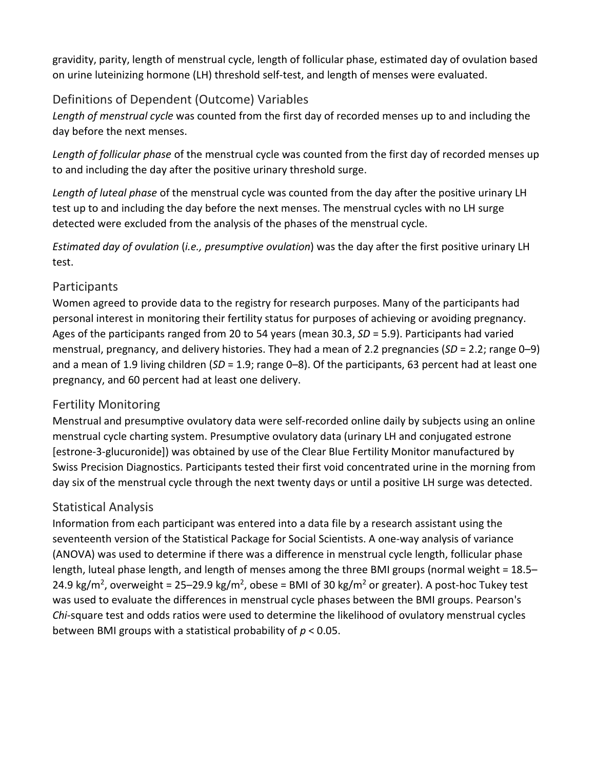gravidity, parity, length of menstrual cycle, length of follicular phase, estimated day of ovulation based on urine luteinizing hormone (LH) threshold self-test, and length of menses were evaluated.

#### Definitions of Dependent (Outcome) Variables

*Length of menstrual cycle* was counted from the first day of recorded menses up to and including the day before the next menses.

*Length of follicular phase* of the menstrual cycle was counted from the first day of recorded menses up to and including the day after the positive urinary threshold surge.

*Length of luteal phase* of the menstrual cycle was counted from the day after the positive urinary LH test up to and including the day before the next menses. The menstrual cycles with no LH surge detected were excluded from the analysis of the phases of the menstrual cycle.

*Estimated day of ovulation* (*i.e., presumptive ovulation*) was the day after the first positive urinary LH test.

#### Participants

Women agreed to provide data to the registry for research purposes. Many of the participants had personal interest in monitoring their fertility status for purposes of achieving or avoiding pregnancy. Ages of the participants ranged from 20 to 54 years (mean 30.3, *SD* = 5.9). Participants had varied menstrual, pregnancy, and delivery histories. They had a mean of 2.2 pregnancies (*SD* = 2.2; range 0–9) and a mean of 1.9 living children (*SD* = 1.9; range 0–8). Of the participants, 63 percent had at least one pregnancy, and 60 percent had at least one delivery.

#### Fertility Monitoring

Menstrual and presumptive ovulatory data were self-recorded online daily by subjects using an online menstrual cycle charting system. Presumptive ovulatory data (urinary LH and conjugated estrone [estrone-3-glucuronide]) was obtained by use of the Clear Blue Fertility Monitor manufactured by Swiss Precision Diagnostics. Participants tested their first void concentrated urine in the morning from day six of the menstrual cycle through the next twenty days or until a positive LH surge was detected.

#### Statistical Analysis

Information from each participant was entered into a data file by a research assistant using the seventeenth version of the Statistical Package for Social Scientists. A one-way analysis of variance (ANOVA) was used to determine if there was a difference in menstrual cycle length, follicular phase length, luteal phase length, and length of menses among the three BMI groups (normal weight = 18.5– 24.9 kg/m<sup>2</sup>, overweight = 25–29.9 kg/m<sup>2</sup>, obese = BMI of 30 kg/m<sup>2</sup> or greater). A post-hoc Tukey test was used to evaluate the differences in menstrual cycle phases between the BMI groups. Pearson's *Chi*-square test and odds ratios were used to determine the likelihood of ovulatory menstrual cycles between BMI groups with a statistical probability of *p* < 0.05.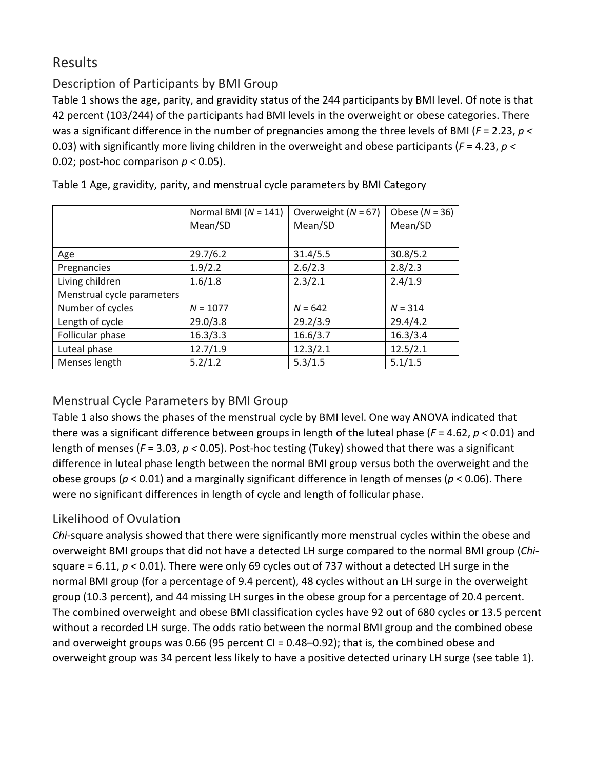### Results

#### Description of Participants by BMI Group

Table 1 shows the age, parity, and gravidity status of the 244 participants by BMI level. Of note is that 42 percent (103/244) of the participants had BMI levels in the overweight or obese categories. There was a significant difference in the number of pregnancies among the three levels of BMI (*F* = 2.23, *p <* 0.03) with significantly more living children in the overweight and obese participants (*F* = 4.23, *p <* 0.02; post-hoc comparison *p <* 0.05).

|                            | Normal BMI ( $N = 141$ ) | Overweight $(N = 67)$ | Obese $(N = 36)$ |
|----------------------------|--------------------------|-----------------------|------------------|
|                            | Mean/SD                  | Mean/SD               | Mean/SD          |
|                            |                          |                       |                  |
| Age                        | 29.7/6.2                 | 31.4/5.5              | 30.8/5.2         |
| Pregnancies                | 1.9/2.2                  | 2.6/2.3               | 2.8/2.3          |
| Living children            | 1.6/1.8                  | 2.3/2.1               | 2.4/1.9          |
| Menstrual cycle parameters |                          |                       |                  |
| Number of cycles           | $N = 1077$               | $N = 642$             | $N = 314$        |
| Length of cycle            | 29.0/3.8                 | 29.2/3.9              | 29.4/4.2         |
| Follicular phase           | 16.3/3.3                 | 16.6/3.7              | 16.3/3.4         |
| Luteal phase               | 12.7/1.9                 | 12.3/2.1              | 12.5/2.1         |
| Menses length              | 5.2/1.2                  | 5.3/1.5               | 5.1/1.5          |

Table 1 Age, gravidity, parity, and menstrual cycle parameters by BMI Category

#### Menstrual Cycle Parameters by BMI Group

Table 1 also shows the phases of the menstrual cycle by BMI level. One way ANOVA indicated that there was a significant difference between groups in length of the luteal phase (*F* = 4.62, *p <* 0.01) and length of menses (*F* = 3.03, *p <* 0.05). Post-hoc testing (Tukey) showed that there was a significant difference in luteal phase length between the normal BMI group versus both the overweight and the obese groups (*p* < 0.01) and a marginally significant difference in length of menses (*p* < 0.06). There were no significant differences in length of cycle and length of follicular phase.

### Likelihood of Ovulation

*Chi*-square analysis showed that there were significantly more menstrual cycles within the obese and overweight BMI groups that did not have a detected LH surge compared to the normal BMI group (*Chi*square = 6.11, *p <* 0.01). There were only 69 cycles out of 737 without a detected LH surge in the normal BMI group (for a percentage of 9.4 percent), 48 cycles without an LH surge in the overweight group (10.3 percent), and 44 missing LH surges in the obese group for a percentage of 20.4 percent. The combined overweight and obese BMI classification cycles have 92 out of 680 cycles or 13.5 percent without a recorded LH surge. The odds ratio between the normal BMI group and the combined obese and overweight groups was 0.66 (95 percent CI = 0.48–0.92); that is, the combined obese and overweight group was 34 percent less likely to have a positive detected urinary LH surge (see table 1).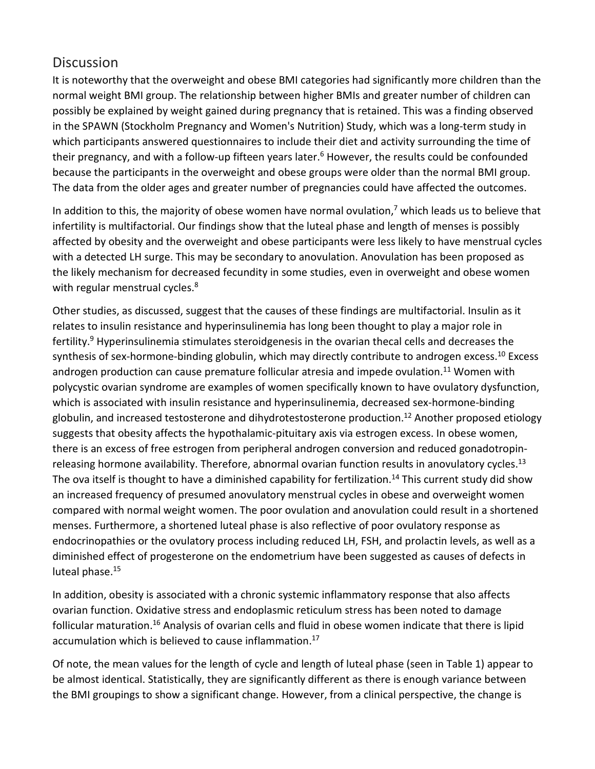#### **Discussion**

It is noteworthy that the overweight and obese BMI categories had significantly more children than the normal weight BMI group. The relationship between higher BMIs and greater number of children can possibly be explained by weight gained during pregnancy that is retained. This was a finding observed in the SPAWN (Stockholm Pregnancy and Women's Nutrition) Study, which was a long-term study in which participants answered questionnaires to include their diet and activity surrounding the time of their pregnancy, and with a follow-up fifteen years later.<sup>6</sup> However, the results could be confounded because the participants in the overweight and obese groups were older than the normal BMI group. The data from the older ages and greater number of pregnancies could have affected the outcomes.

In addition to this, the majority of obese women have normal ovulation, $<sup>7</sup>$  which leads us to believe that</sup> infertility is multifactorial. Our findings show that the luteal phase and length of menses is possibly affected by obesity and the overweight and obese participants were less likely to have menstrual cycles with a detected LH surge. This may be secondary to anovulation. Anovulation has been proposed as the likely mechanism for decreased fecundity in some studies, even in overweight and obese women with regular menstrual cycles.<sup>8</sup>

Other studies, as discussed, suggest that the causes of these findings are multifactorial. Insulin as it relates to insulin resistance and hyperinsulinemia has long been thought to play a major role in fertility.<sup>9</sup> Hyperinsulinemia stimulates steroidgenesis in the ovarian thecal cells and decreases the synthesis of sex-hormone-binding globulin, which may directly contribute to androgen excess.<sup>10</sup> Excess androgen production can cause premature follicular atresia and impede ovulation.<sup>11</sup> Women with polycystic ovarian syndrome are examples of women specifically known to have ovulatory dysfunction, which is associated with insulin resistance and hyperinsulinemia, decreased sex-hormone-binding globulin, and increased testosterone and dihydrotestosterone production.<sup>12</sup> Another proposed etiology suggests that obesity affects the hypothalamic-pituitary axis via estrogen excess. In obese women, there is an excess of free estrogen from peripheral androgen conversion and reduced gonadotropinreleasing hormone availability. Therefore, abnormal ovarian function results in anovulatory cycles.<sup>13</sup> The ova itself is thought to have a diminished capability for fertilization.<sup>14</sup> This current study did show an increased frequency of presumed anovulatory menstrual cycles in obese and overweight women compared with normal weight women. The poor ovulation and anovulation could result in a shortened menses. Furthermore, a shortened luteal phase is also reflective of poor ovulatory response as endocrinopathies or the ovulatory process including reduced LH, FSH, and prolactin levels, as well as a diminished effect of progesterone on the endometrium have been suggested as causes of defects in luteal phase.<sup>15</sup>

In addition, obesity is associated with a chronic systemic inflammatory response that also affects ovarian function. Oxidative stress and endoplasmic reticulum stress has been noted to damage follicular maturation.16 Analysis of ovarian cells and fluid in obese women indicate that there is lipid accumulation which is believed to cause inflammation.<sup>17</sup>

Of note, the mean values for the length of cycle and length of luteal phase (seen in Table 1) appear to be almost identical. Statistically, they are significantly different as there is enough variance between the BMI groupings to show a significant change. However, from a clinical perspective, the change is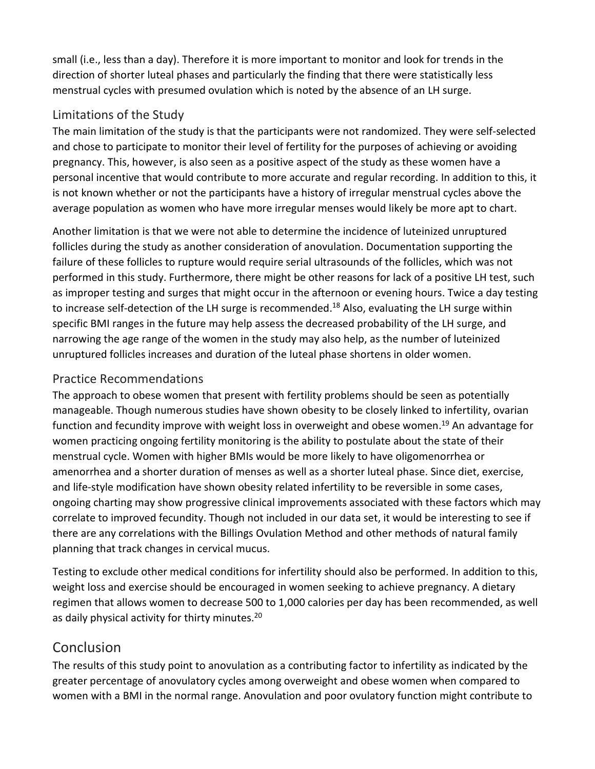small (i.e., less than a day). Therefore it is more important to monitor and look for trends in the direction of shorter luteal phases and particularly the finding that there were statistically less menstrual cycles with presumed ovulation which is noted by the absence of an LH surge.

#### Limitations of the Study

The main limitation of the study is that the participants were not randomized. They were self-selected and chose to participate to monitor their level of fertility for the purposes of achieving or avoiding pregnancy. This, however, is also seen as a positive aspect of the study as these women have a personal incentive that would contribute to more accurate and regular recording. In addition to this, it is not known whether or not the participants have a history of irregular menstrual cycles above the average population as women who have more irregular menses would likely be more apt to chart.

Another limitation is that we were not able to determine the incidence of luteinized unruptured follicles during the study as another consideration of anovulation. Documentation supporting the failure of these follicles to rupture would require serial ultrasounds of the follicles, which was not performed in this study. Furthermore, there might be other reasons for lack of a positive LH test, such as improper testing and surges that might occur in the afternoon or evening hours. Twice a day testing to increase self-detection of the LH surge is recommended.<sup>18</sup> Also, evaluating the LH surge within specific BMI ranges in the future may help assess the decreased probability of the LH surge, and narrowing the age range of the women in the study may also help, as the number of luteinized unruptured follicles increases and duration of the luteal phase shortens in older women.

#### Practice Recommendations

The approach to obese women that present with fertility problems should be seen as potentially manageable. Though numerous studies have shown obesity to be closely linked to infertility, ovarian function and fecundity improve with weight loss in overweight and obese women.<sup>19</sup> An advantage for women practicing ongoing fertility monitoring is the ability to postulate about the state of their menstrual cycle. Women with higher BMIs would be more likely to have oligomenorrhea or amenorrhea and a shorter duration of menses as well as a shorter luteal phase. Since diet, exercise, and life-style modification have shown obesity related infertility to be reversible in some cases, ongoing charting may show progressive clinical improvements associated with these factors which may correlate to improved fecundity. Though not included in our data set, it would be interesting to see if there are any correlations with the Billings Ovulation Method and other methods of natural family planning that track changes in cervical mucus.

Testing to exclude other medical conditions for infertility should also be performed. In addition to this, weight loss and exercise should be encouraged in women seeking to achieve pregnancy. A dietary regimen that allows women to decrease 500 to 1,000 calories per day has been recommended, as well as daily physical activity for thirty minutes.<sup>20</sup>

### Conclusion

The results of this study point to anovulation as a contributing factor to infertility as indicated by the greater percentage of anovulatory cycles among overweight and obese women when compared to women with a BMI in the normal range. Anovulation and poor ovulatory function might contribute to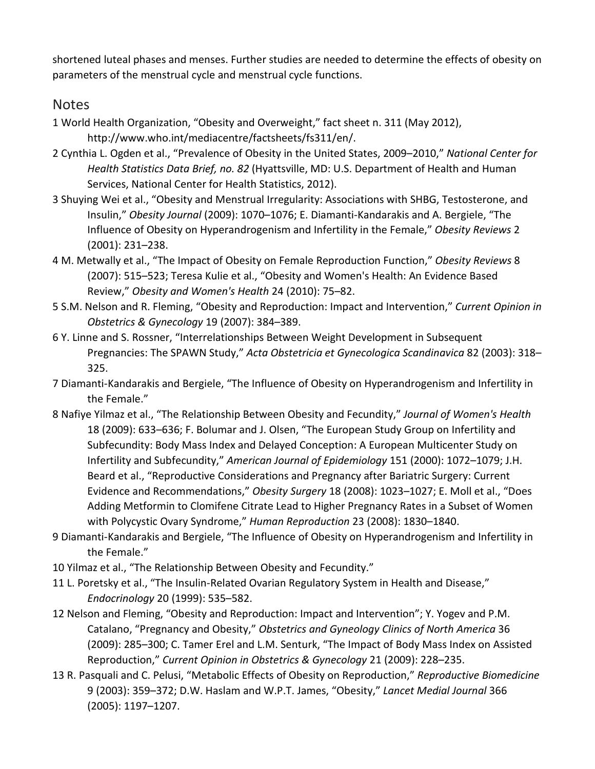shortened luteal phases and menses. Further studies are needed to determine the effects of obesity on parameters of the menstrual cycle and menstrual cycle functions.

#### **Notes**

- 1 World Health Organization, "Obesity and Overweight," fact sheet n. 311 (May 2012), http://www.who.int/mediacentre/factsheets/fs311/en/.
- 2 Cynthia L. Ogden et al., "Prevalence of Obesity in the United States, 2009–2010," *National Center for Health Statistics Data Brief, no. 82* (Hyattsville, MD: U.S. Department of Health and Human Services, National Center for Health Statistics, 2012).
- 3 Shuying Wei et al., "Obesity and Menstrual Irregularity: Associations with SHBG, Testosterone, and Insulin," *Obesity Journal* (2009): 1070–1076; E. Diamanti-Kandarakis and A. Bergiele, "The Influence of Obesity on Hyperandrogenism and Infertility in the Female," *Obesity Reviews* 2 (2001): 231–238.
- 4 M. Metwally et al., "The Impact of Obesity on Female Reproduction Function," *Obesity Reviews* 8 (2007): 515–523; Teresa Kulie et al., "Obesity and Women's Health: An Evidence Based Review," *Obesity and Women's Health* 24 (2010): 75–82.
- 5 S.M. Nelson and R. Fleming, "Obesity and Reproduction: Impact and Intervention," *Current Opinion in Obstetrics & Gynecology* 19 (2007): 384–389.
- 6 Y. Linne and S. Rossner, "Interrelationships Between Weight Development in Subsequent Pregnancies: The SPAWN Study," *Acta Obstetricia et Gynecologica Scandinavica* 82 (2003): 318– 325.
- 7 Diamanti-Kandarakis and Bergiele, "The Influence of Obesity on Hyperandrogenism and Infertility in the Female."
- 8 Nafiye Yilmaz et al., "The Relationship Between Obesity and Fecundity," *Journal of Women's Health* 18 (2009): 633–636; F. Bolumar and J. Olsen, "The European Study Group on Infertility and Subfecundity: Body Mass Index and Delayed Conception: A European Multicenter Study on Infertility and Subfecundity," *American Journal of Epidemiology* 151 (2000): 1072–1079; J.H. Beard et al., "Reproductive Considerations and Pregnancy after Bariatric Surgery: Current Evidence and Recommendations," *Obesity Surgery* 18 (2008): 1023–1027; E. Moll et al., "Does Adding Metformin to Clomifene Citrate Lead to Higher Pregnancy Rates in a Subset of Women with Polycystic Ovary Syndrome," *Human Reproduction* 23 (2008): 1830–1840.
- 9 Diamanti-Kandarakis and Bergiele, "The Influence of Obesity on Hyperandrogenism and Infertility in the Female."
- 10 Yilmaz et al., "The Relationship Between Obesity and Fecundity."
- 11 L. Poretsky et al., "The Insulin-Related Ovarian Regulatory System in Health and Disease," *Endocrinology* 20 (1999): 535–582.
- 12 Nelson and Fleming, "Obesity and Reproduction: Impact and Intervention"; Y. Yogev and P.M. Catalano, "Pregnancy and Obesity," *Obstetrics and Gyneology Clinics of North America* 36 (2009): 285–300; C. Tamer Erel and L.M. Senturk, "The Impact of Body Mass Index on Assisted Reproduction," *Current Opinion in Obstetrics & Gynecology* 21 (2009): 228–235.
- 13 R. Pasquali and C. Pelusi, "Metabolic Effects of Obesity on Reproduction," *Reproductive Biomedicine* 9 (2003): 359–372; D.W. Haslam and W.P.T. James, "Obesity," *Lancet Medial Journal* 366 (2005): 1197–1207.